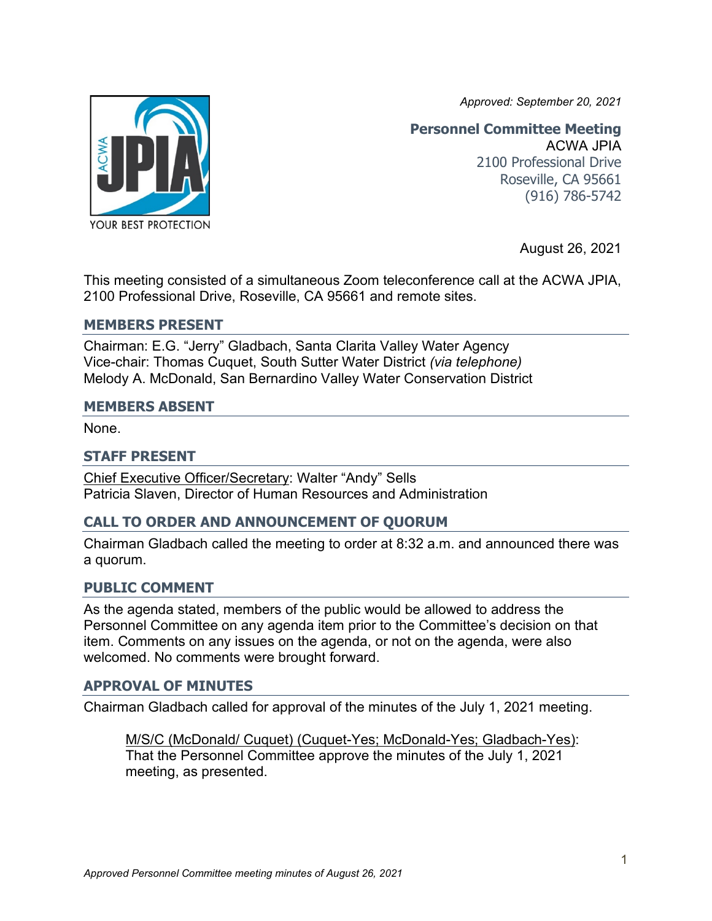*Approved: September 20, 2021*



**Personnel Committee Meeting** ACWA JPIA 2100 Professional Drive Roseville, CA 95661 (916) 786-5742

August 26, 2021

This meeting consisted of a simultaneous Zoom teleconference call at the ACWA JPIA, 2100 Professional Drive, Roseville, CA 95661 and remote sites.

#### **MEMBERS PRESENT**

Chairman: E.G. "Jerry" Gladbach, Santa Clarita Valley Water Agency Vice-chair: Thomas Cuquet, South Sutter Water District *(via telephone)* Melody A. McDonald, San Bernardino Valley Water Conservation District

#### **MEMBERS ABSENT**

None.

## **STAFF PRESENT**

Chief Executive Officer/Secretary: Walter "Andy" Sells Patricia Slaven, Director of Human Resources and Administration

# **CALL TO ORDER AND ANNOUNCEMENT OF QUORUM**

Chairman Gladbach called the meeting to order at 8:32 a.m. and announced there was a quorum.

## **PUBLIC COMMENT**

As the agenda stated, members of the public would be allowed to address the Personnel Committee on any agenda item prior to the Committee's decision on that item. Comments on any issues on the agenda, or not on the agenda, were also welcomed. No comments were brought forward.

## **APPROVAL OF MINUTES**

Chairman Gladbach called for approval of the minutes of the July 1, 2021 meeting.

M/S/C (McDonald/ Cuquet) (Cuquet-Yes; McDonald-Yes; Gladbach-Yes): That the Personnel Committee approve the minutes of the July 1, 2021 meeting, as presented.